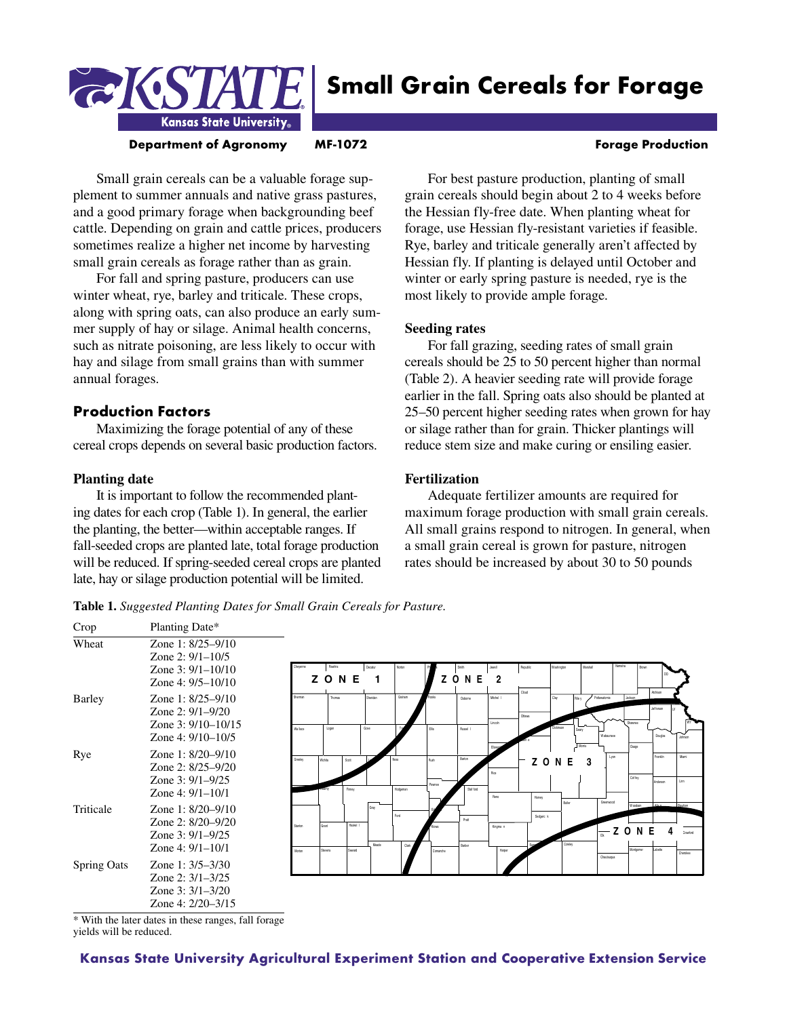

# **Small Grain Cereals for Forage**

**Department of Agronomy MF-1072 ME-108 Administration Research Production** 

# Small grain cereals can be a valuable forage supplement to summer annuals and native grass pastures, and a good primary forage when backgrounding beef cattle. Depending on grain and cattle prices, producers sometimes realize a higher net income by harvesting small grain cereals as forage rather than as grain.

Kansas State University.

For fall and spring pasture, producers can use winter wheat, rye, barley and triticale. These crops, along with spring oats, can also produce an early summer supply of hay or silage. Animal health concerns, such as nitrate poisoning, are less likely to occur with hay and silage from small grains than with summer annual forages.

# **Production Factors**

Maximizing the forage potential of any of these cereal crops depends on several basic production factors.

# **Planting date**

It is important to follow the recommended planting dates for each crop (Table 1). In general, the earlier the planting, the better—within acceptable ranges. If fall-seeded crops are planted late, total forage production will be reduced. If spring-seeded cereal crops are planted late, hay or silage production potential will be limited.

For best pasture production, planting of small grain cereals should begin about 2 to 4 weeks before the Hessian fly-free date. When planting wheat for forage, use Hessian fly-resistant varieties if feasible. Rye, barley and triticale generally aren't affected by Hessian fly. If planting is delayed until October and winter or early spring pasture is needed, rye is the most likely to provide ample forage.

# **Seeding rates**

For fall grazing, seeding rates of small grain cereals should be 25 to 50 percent higher than normal (Table 2). A heavier seeding rate will provide forage earlier in the fall. Spring oats also should be planted at 25–50 percent higher seeding rates when grown for hay or silage rather than for grain. Thicker plantings will reduce stem size and make curing or ensiling easier.

# **Fertilization**

Adequate fertilizer amounts are required for maximum forage production with small grain cereals. All small grains respond to nitrogen. In general, when a small grain cereal is grown for pasture, nitrogen rates should be increased by about 30 to 50 pounds

**Table 1.** *Suggested Planting Dates for Small Grain Cereals for Pasture.* 

| Crop               | Planting Date*                                                                              |                   |                  |                    |                  |                         |                      |                     |                          |                 |            |                  |                                     |                                  |                                   |              |
|--------------------|---------------------------------------------------------------------------------------------|-------------------|------------------|--------------------|------------------|-------------------------|----------------------|---------------------|--------------------------|-----------------|------------|------------------|-------------------------------------|----------------------------------|-----------------------------------|--------------|
| Wheat              | Zone 1: 8/25-9/10<br>Zone $2: 9/1 - 10/5$<br>Zone $3: 9/1 - 10/10$<br>Zone 4: $9/5 - 10/10$ |                   | Rawins<br>ZONE   |                    | Decatur          | Notor                   |                      | Smith<br>ZONE       | Jewell<br>$\overline{2}$ | Republic        | Washington | Marshall         | Nemaha                              |                                  |                                   |              |
| Barley             | Zone 1: 8/25-9/10<br>Zone $2: 9/1 - 9/20$<br>Zone $3: 9/10 - 10/15$<br>Zone 4: $9/10-10/5$  | Sheman<br>Wa lace | Thomas<br>Logan  |                    | Sheridan<br>Gove | Graham                  | <b>Rocks</b><br>Elis | Osbome<br>Russel I  | Michel I<br>Lincoln      | Cloud<br>Ottawa | Clay       | Rile y<br>Morris | Pottawatomie<br>Wabaunsee           | Jackson<br>Shawnee               | Alchison<br>Jef ferson<br>Douglas | Johnson      |
| Rye                | Zone 1: 8/20–9/10<br>Zone 2: 8/25-9/20<br>Zone $3: 9/1 - 9/25$<br>Zone 4: $9/1-10/1$        | Greeley           | Wchita           | Soft<br>Firrey     |                  | <b>Marc</b><br>Hodgeman | Rush<br>Paynee       | Barton<br>Staf ford | Rice<br>Reno             | Havey           | ZON        | E<br>3           | Lyon                                | Osage<br>Coffey                  | Franklin<br>Anderson              | Mani<br>Linn |
| Triticale          | Zone 1: $8/20 - 9/10$<br>Zone 2: 8/20–9/20<br>Zone $3: 9/1 - 9/25$<br>Zone 4: $9/1-10/1$    | Stanton<br>Morton | Grant<br>Stevens | Haskel I<br>Seward | Meade            | Ford<br>Clark           |                      | Pratt<br>Barber     | Knona n<br>Harper        | Sedgwic k       |            | Butler<br>Cowley | Greenwood<br>$\frac{1}{12}$ Z O N E | możecn <sup>W</sup><br>Montgomer | Alan<br>Labette                   | Drawford     |
| <b>Spring Oats</b> | Zone 1: $3/5 - 3/30$<br>Zone 2: $3/1 - 3/25$<br>Zone $3:3/1-3/20$<br>Zone 4: 2/20–3/15      |                   |                  |                    |                  |                         | Comanche             |                     |                          |                 |            |                  | Chautaugua                          |                                  |                                   | Cherokee     |

\* With the later dates in these ranges, fall forage yields will be reduced.

**Kansas State University Agricultural Experiment Station and Cooperative Extension Service**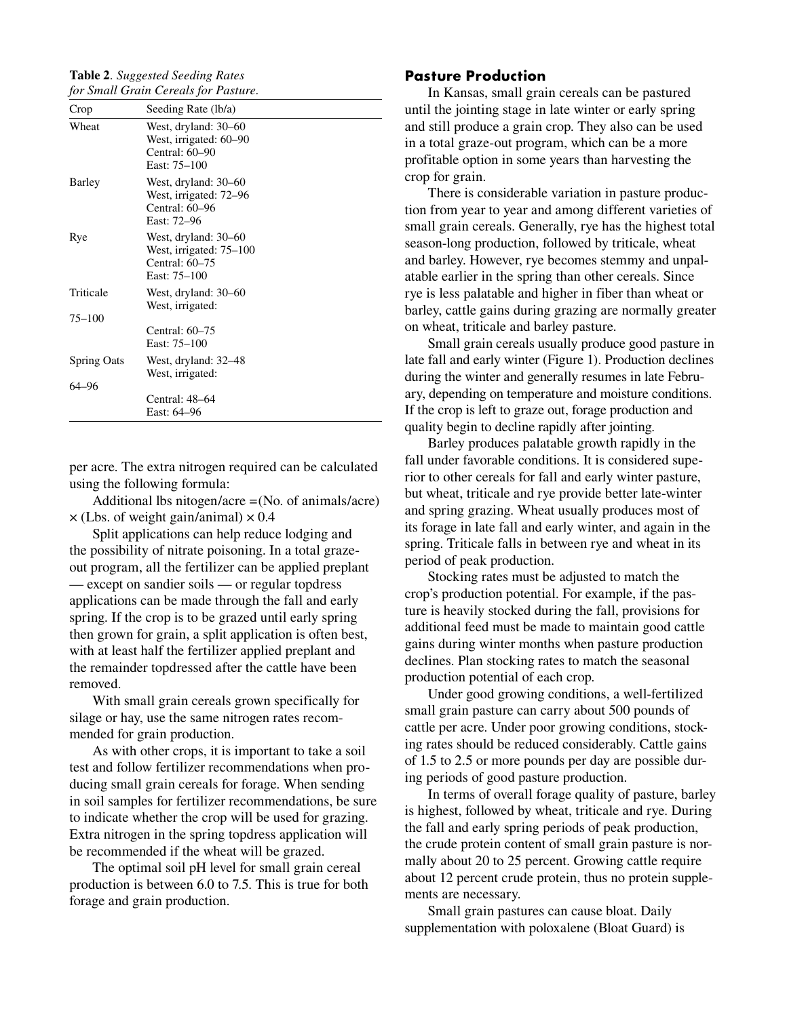**Table 2***. Suggested Seeding Rates for Small Grain Cereals for Pasture.*

| Crop               | Seeding Rate (lb/a)                                                               |
|--------------------|-----------------------------------------------------------------------------------|
| Wheat              | West, dryland: 30–60<br>West, irrigated: 60–90<br>Central: 60–90<br>East: 75–100  |
| Barley             | West, dryland: 30–60<br>West, irrigated: 72–96<br>Central: 60–96<br>East: 72-96   |
| Rye                | West, dryland: 30-60<br>West, irrigated: 75–100<br>Central: 60–75<br>East: 75–100 |
| Triticale          | West, dryland: 30–60<br>West, irrigated:                                          |
| $75 - 100$         |                                                                                   |
|                    | Central: $60-75$<br>East: 75–100                                                  |
| <b>Spring Oats</b> | West, dryland: 32-48<br>West, irrigated:                                          |
| 64–96              |                                                                                   |
|                    | Central: 48–64<br>East: 64–96                                                     |

per acre. The extra nitrogen required can be calculated using the following formula:

Additional lbs nitogen/acre =(No. of animals/acre)  $\times$  (Lbs. of weight gain/animal)  $\times$  0.4

Split applications can help reduce lodging and the possibility of nitrate poisoning. In a total grazeout program, all the fertilizer can be applied preplant — except on sandier soils — or regular topdress applications can be made through the fall and early spring. If the crop is to be grazed until early spring then grown for grain, a split application is often best, with at least half the fertilizer applied preplant and the remainder topdressed after the cattle have been removed.

With small grain cereals grown specifically for silage or hay, use the same nitrogen rates recommended for grain production.

As with other crops, it is important to take a soil test and follow fertilizer recommendations when producing small grain cereals for forage. When sending in soil samples for fertilizer recommendations, be sure to indicate whether the crop will be used for grazing. Extra nitrogen in the spring topdress application will be recommended if the wheat will be grazed.

The optimal soil pH level for small grain cereal production is between 6.0 to 7.5. This is true for both forage and grain production.

# **Pasture Production**

In Kansas, small grain cereals can be pastured until the jointing stage in late winter or early spring and still produce a grain crop. They also can be used in a total graze-out program, which can be a more profitable option in some years than harvesting the crop for grain.

There is considerable variation in pasture production from year to year and among different varieties of small grain cereals. Generally, rye has the highest total season-long production, followed by triticale, wheat and barley. However, rye becomes stemmy and unpalatable earlier in the spring than other cereals. Since rye is less palatable and higher in fiber than wheat or barley, cattle gains during grazing are normally greater on wheat, triticale and barley pasture.

Small grain cereals usually produce good pasture in late fall and early winter (Figure 1). Production declines during the winter and generally resumes in late February, depending on temperature and moisture conditions. If the crop is left to graze out, forage production and quality begin to decline rapidly after jointing.

Barley produces palatable growth rapidly in the fall under favorable conditions. It is considered superior to other cereals for fall and early winter pasture, but wheat, triticale and rye provide better late-winter and spring grazing. Wheat usually produces most of its forage in late fall and early winter, and again in the spring. Triticale falls in between rye and wheat in its period of peak production.

Stocking rates must be adjusted to match the crop's production potential. For example, if the pasture is heavily stocked during the fall, provisions for additional feed must be made to maintain good cattle gains during winter months when pasture production declines. Plan stocking rates to match the seasonal production potential of each crop.

Under good growing conditions, a well-fertilized small grain pasture can carry about 500 pounds of cattle per acre. Under poor growing conditions, stocking rates should be reduced considerably. Cattle gains of 1.5 to 2.5 or more pounds per day are possible during periods of good pasture production.

In terms of overall forage quality of pasture, barley is highest, followed by wheat, triticale and rye. During the fall and early spring periods of peak production, the crude protein content of small grain pasture is normally about 20 to 25 percent. Growing cattle require about 12 percent crude protein, thus no protein supplements are necessary.

Small grain pastures can cause bloat. Daily supplementation with poloxalene (Bloat Guard) is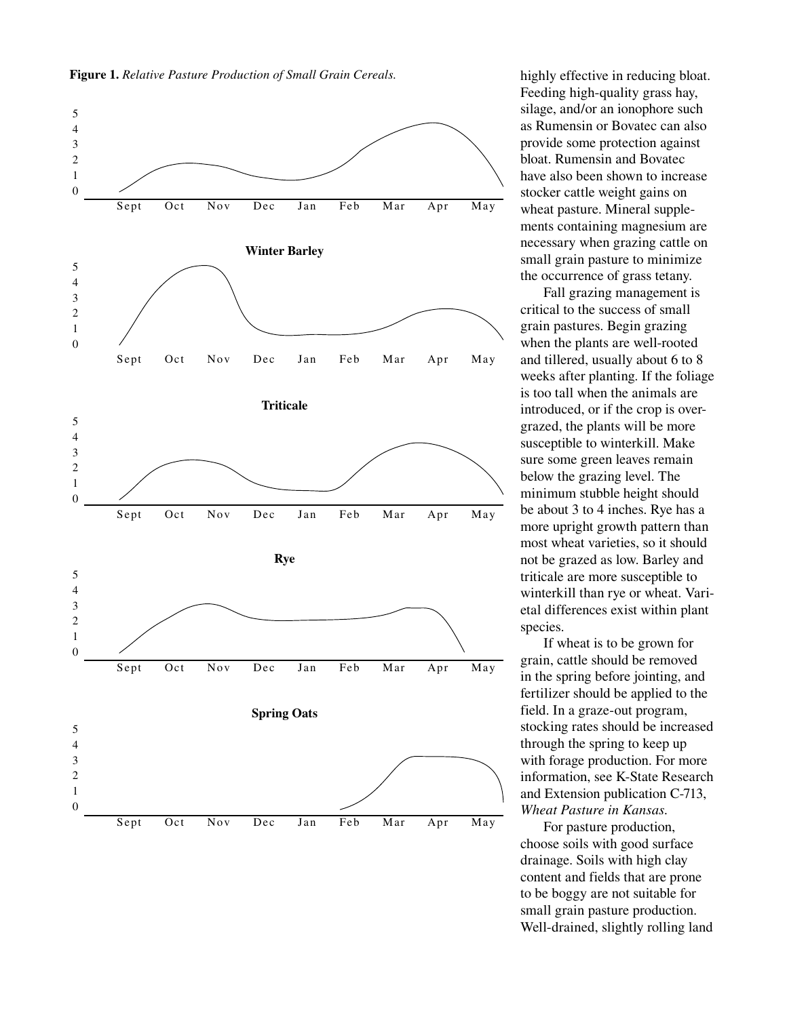



highly effective in reducing bloat. Feeding high-quality grass hay, silage, and/or an ionophore such as Rumensin or Bovatec can also provide some protection against bloat. Rumensin and Bovatec have also been shown to increase stocker cattle weight gains on wheat pasture. Mineral supplements containing magnesium are necessary when grazing cattle on small grain pasture to minimize the occurrence of grass tetany.

Fall grazing management is critical to the success of small grain pastures. Begin grazing when the plants are well-rooted and tillered, usually about 6 to 8 weeks after planting. If the foliage is too tall when the animals are introduced, or if the crop is overgrazed, the plants will be more susceptible to winterkill. Make sure some green leaves remain below the grazing level. The minimum stubble height should be about 3 to 4 inches. Rye has a more upright growth pattern than most wheat varieties, so it should not be grazed as low. Barley and triticale are more susceptible to winterkill than rye or wheat. Varietal differences exist within plant species.

If wheat is to be grown for grain, cattle should be removed in the spring before jointing, and fertilizer should be applied to the field. In a graze-out program, stocking rates should be increased through the spring to keep up with forage production. For more information, see K-State Research and Extension publication C-713, *Wheat Pasture in Kansas*.

For pasture production, choose soils with good surface drainage. Soils with high clay content and fields that are prone to be boggy are not suitable for small grain pasture production. Well-drained, slightly rolling land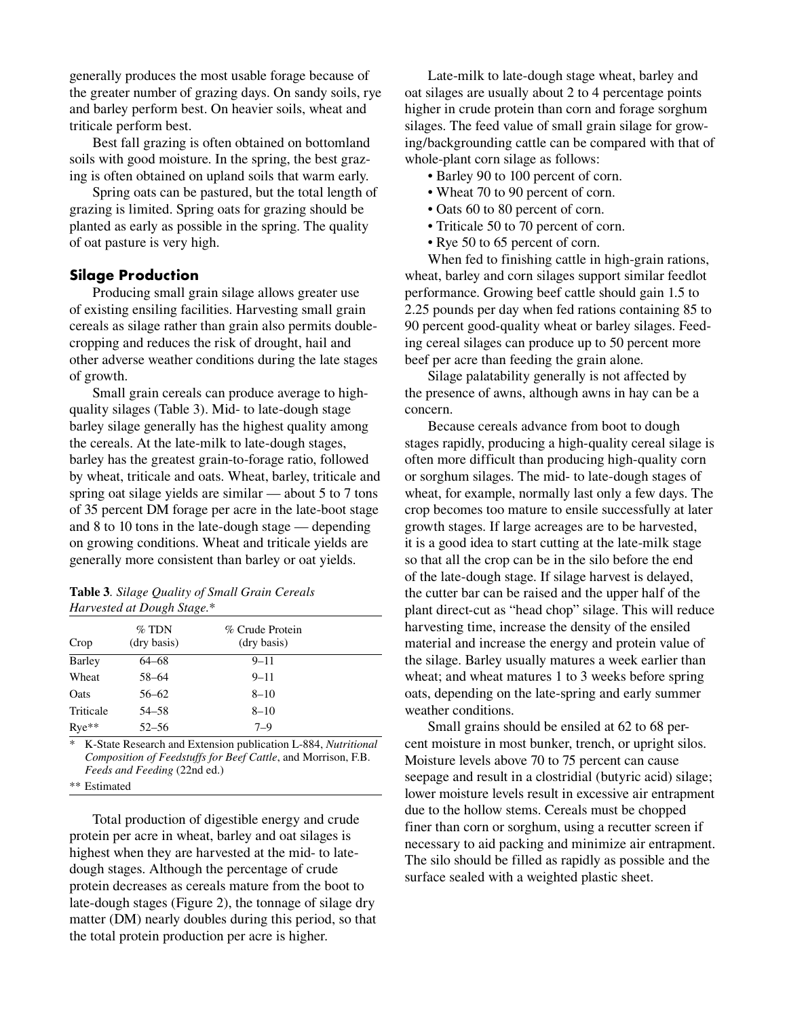generally produces the most usable forage because of the greater number of grazing days. On sandy soils, rye and barley perform best. On heavier soils, wheat and triticale perform best.

Best fall grazing is often obtained on bottomland soils with good moisture. In the spring, the best grazing is often obtained on upland soils that warm early.

Spring oats can be pastured, but the total length of grazing is limited. Spring oats for grazing should be planted as early as possible in the spring. The quality of oat pasture is very high.

# **Silage Production**

Producing small grain silage allows greater use of existing ensiling facilities. Harvesting small grain cereals as silage rather than grain also permits doublecropping and reduces the risk of drought, hail and other adverse weather conditions during the late stages of growth.

Small grain cereals can produce average to highquality silages (Table 3). Mid- to late-dough stage barley silage generally has the highest quality among the cereals. At the late-milk to late-dough stages, barley has the greatest grain-to-forage ratio, followed by wheat, triticale and oats. Wheat, barley, triticale and spring oat silage yields are similar — about 5 to 7 tons of 35 percent DM forage per acre in the late-boot stage and 8 to 10 tons in the late-dough stage — depending on growing conditions. Wheat and triticale yields are generally more consistent than barley or oat yields.

| <b>Table 3.</b> Silage Quality of Small Grain Cereals |
|-------------------------------------------------------|
| Harvested at Dough Stage.*                            |

| Crop      | $\%$ TDN<br>(dry basis) | % Crude Protein<br>(dry basis) |  |
|-----------|-------------------------|--------------------------------|--|
| Barley    | 64–68                   | $9 - 11$                       |  |
| Wheat     | 58-64                   | $9 - 11$                       |  |
| Oats      | $56 - 62$               | $8 - 10$                       |  |
| Triticale | 54–58                   | $8 - 10$                       |  |
| $Rye**$   | $52 - 56$               | $7 - 9$                        |  |

\* K-State Research and Extension publication L-884, *Nutritional Composition of Feedstuffs for Beef Cattle*, and Morrison, F.B. *Feeds and Feeding* (22nd ed.)

\*\* Estimated

Total production of digestible energy and crude protein per acre in wheat, barley and oat silages is highest when they are harvested at the mid- to latedough stages. Although the percentage of crude protein decreases as cereals mature from the boot to late-dough stages (Figure 2), the tonnage of silage dry matter (DM) nearly doubles during this period, so that the total protein production per acre is higher.

Late-milk to late-dough stage wheat, barley and oat silages are usually about 2 to 4 percentage points higher in crude protein than corn and forage sorghum silages. The feed value of small grain silage for growing/backgrounding cattle can be compared with that of whole-plant corn silage as follows:

- Barley 90 to 100 percent of corn.
- Wheat 70 to 90 percent of corn.
- Oats 60 to 80 percent of corn.
- Triticale 50 to 70 percent of corn.
- Rye 50 to 65 percent of corn.

When fed to finishing cattle in high-grain rations, wheat, barley and corn silages support similar feedlot performance. Growing beef cattle should gain 1.5 to 2.25 pounds per day when fed rations containing 85 to 90 percent good-quality wheat or barley silages. Feeding cereal silages can produce up to 50 percent more beef per acre than feeding the grain alone.

Silage palatability generally is not affected by the presence of awns, although awns in hay can be a concern.

Because cereals advance from boot to dough stages rapidly, producing a high-quality cereal silage is often more difficult than producing high-quality corn or sorghum silages. The mid- to late-dough stages of wheat, for example, normally last only a few days. The crop becomes too mature to ensile successfully at later growth stages. If large acreages are to be harvested, it is a good idea to start cutting at the late-milk stage so that all the crop can be in the silo before the end of the late-dough stage. If silage harvest is delayed, the cutter bar can be raised and the upper half of the plant direct-cut as "head chop" silage. This will reduce harvesting time, increase the density of the ensiled material and increase the energy and protein value of the silage. Barley usually matures a week earlier than wheat; and wheat matures 1 to 3 weeks before spring oats, depending on the late-spring and early summer weather conditions.

Small grains should be ensiled at 62 to 68 percent moisture in most bunker, trench, or upright silos. Moisture levels above 70 to 75 percent can cause seepage and result in a clostridial (butyric acid) silage; lower moisture levels result in excessive air entrapment due to the hollow stems. Cereals must be chopped finer than corn or sorghum, using a recutter screen if necessary to aid packing and minimize air entrapment. The silo should be filled as rapidly as possible and the surface sealed with a weighted plastic sheet.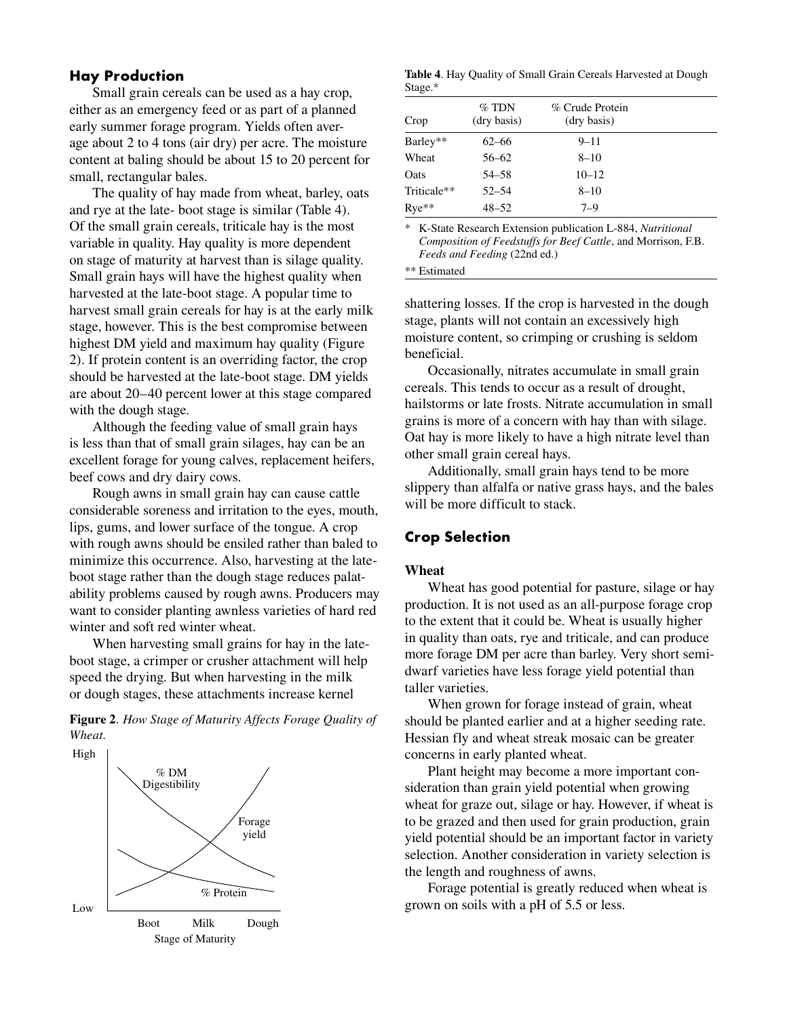# **Hay Production**

Small grain cereals can be used as a hay crop, either as an emergency feed or as part of a planned early summer forage program. Yields often average about 2 to 4 tons (air dry) per acre. The moisture content at baling should be about 15 to 20 percent for small, rectangular bales.

The quality of hay made from wheat, barley, oats and rye at the late- boot stage is similar (Table 4). Of the small grain cereals, triticale hay is the most variable in quality. Hay quality is more dependent on stage of maturity at harvest than is silage quality. Small grain hays will have the highest quality when harvested at the late-boot stage. A popular time to harvest small grain cereals for hay is at the early milk stage, however. This is the best compromise between highest DM yield and maximum hay quality (Figure 2). If protein content is an overriding factor, the crop should be harvested at the late-boot stage. DM yields are about 20–40 percent lower at this stage compared with the dough stage.

Although the feeding value of small grain hays is less than that of small grain silages, hay can be an excellent forage for young calves, replacement heifers, beef cows and dry dairy cows.

Rough awns in small grain hay can cause cattle considerable soreness and irritation to the eyes, mouth, lips, gums, and lower surface of the tongue. A crop with rough awns should be ensiled rather than baled to minimize this occurrence. Also, harvesting at the lateboot stage rather than the dough stage reduces palatability problems caused by rough awns. Producers may want to consider planting awnless varieties of hard red winter and soft red winter wheat.

When harvesting small grains for hay in the lateboot stage, a crimper or crusher attachment will help speed the drying. But when harvesting in the milk or dough stages, these attachments increase kernel

**Figure 2***. How Stage of Maturity Affects Forage Quality of Wheat.*



**Table 4**. Hay Quality of Small Grain Cereals Harvested at Dough Stage.\*

| Crop        | $\%$ TDN<br>(dry basis) | % Crude Protein<br>(dry basis) |  |
|-------------|-------------------------|--------------------------------|--|
| Barley**    | $62 - 66$               | $9 - 11$                       |  |
| Wheat       | $56 - 62$               | $8 - 10$                       |  |
| Oats        | 54–58                   | $10 - 12$                      |  |
| Triticale** | $52 - 54$               | $8 - 10$                       |  |
| $Rye**$     | $48 - 52$               | $7 - 9$                        |  |

\* K-State Research Extension publication L-884, *Nutritional Composition of Feedstuffs for Beef Cattle*, and Morrison, F.B. *Feeds and Feeding* (22nd ed.)

\*\* Estimated

shattering losses. If the crop is harvested in the dough stage, plants will not contain an excessively high moisture content, so crimping or crushing is seldom beneficial.

Occasionally, nitrates accumulate in small grain cereals. This tends to occur as a result of drought, hailstorms or late frosts. Nitrate accumulation in small grains is more of a concern with hay than with silage. Oat hay is more likely to have a high nitrate level than other small grain cereal hays.

Additionally, small grain hays tend to be more slippery than alfalfa or native grass hays, and the bales will be more difficult to stack.

# **Crop Selection**

#### **Wheat**

Wheat has good potential for pasture, silage or hay production. It is not used as an all-purpose forage crop to the extent that it could be. Wheat is usually higher in quality than oats, rye and triticale, and can produce more forage DM per acre than barley. Very short semidwarf varieties have less forage yield potential than taller varieties.

When grown for forage instead of grain, wheat should be planted earlier and at a higher seeding rate. Hessian fly and wheat streak mosaic can be greater concerns in early planted wheat.

Plant height may become a more important consideration than grain yield potential when growing wheat for graze out, silage or hay. However, if wheat is to be grazed and then used for grain production, grain yield potential should be an important factor in variety selection. Another consideration in variety selection is the length and roughness of awns.

Forage potential is greatly reduced when wheat is grown on soils with a pH of 5.5 or less.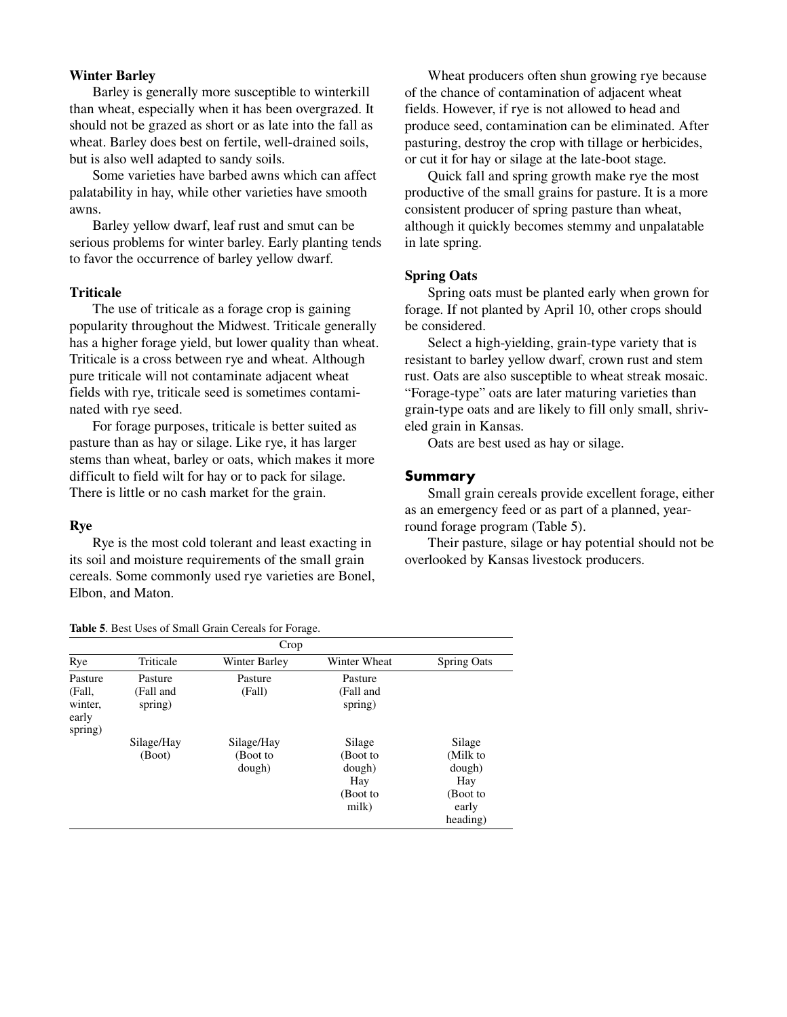### **Winter Barley**

Barley is generally more susceptible to winterkill than wheat, especially when it has been overgrazed. It should not be grazed as short or as late into the fall as wheat. Barley does best on fertile, well-drained soils, but is also well adapted to sandy soils.

Some varieties have barbed awns which can affect palatability in hay, while other varieties have smooth awns.

Barley yellow dwarf, leaf rust and smut can be serious problems for winter barley. Early planting tends to favor the occurrence of barley yellow dwarf.

#### **Triticale**

The use of triticale as a forage crop is gaining popularity throughout the Midwest. Triticale generally has a higher forage yield, but lower quality than wheat. Triticale is a cross between rye and wheat. Although pure triticale will not contaminate adjacent wheat fields with rye, triticale seed is sometimes contaminated with rye seed.

For forage purposes, triticale is better suited as pasture than as hay or silage. Like rye, it has larger stems than wheat, barley or oats, which makes it more difficult to field wilt for hay or to pack for silage. There is little or no cash market for the grain.

#### **Rye**

Rye is the most cold tolerant and least exacting in its soil and moisture requirements of the small grain cereals. Some commonly used rye varieties are Bonel, Elbon, and Maton.

Wheat producers often shun growing rye because of the chance of contamination of adjacent wheat fields. However, if rye is not allowed to head and produce seed, contamination can be eliminated. After pasturing, destroy the crop with tillage or herbicides, or cut it for hay or silage at the late-boot stage.

Quick fall and spring growth make rye the most productive of the small grains for pasture. It is a more consistent producer of spring pasture than wheat, although it quickly becomes stemmy and unpalatable in late spring.

#### **Spring Oats**

Spring oats must be planted early when grown for forage. If not planted by April 10, other crops should be considered.

Select a high-yielding, grain-type variety that is resistant to barley yellow dwarf, crown rust and stem rust. Oats are also susceptible to wheat streak mosaic. "Forage-type" oats are later maturing varieties than grain-type oats and are likely to fill only small, shriveled grain in Kansas.

Oats are best used as hay or silage.

#### **Summary**

Small grain cereals provide excellent forage, either as an emergency feed or as part of a planned, yearround forage program (Table 5).

Their pasture, silage or hay potential should not be overlooked by Kansas livestock producers.

| Crop                        |            |               |              |                    |  |  |  |
|-----------------------------|------------|---------------|--------------|--------------------|--|--|--|
| Rye                         | Triticale  | Winter Barley | Winter Wheat | <b>Spring Oats</b> |  |  |  |
| Pasture                     | Pasture    | Pasture       | Pasture      |                    |  |  |  |
| (Fall,                      | (Fall and  | (Fall)        | (Fall and    |                    |  |  |  |
| winter,<br>early<br>spring) | spring)    |               | spring)      |                    |  |  |  |
|                             | Silage/Hay | Silage/Hay    | Silage       | Silage             |  |  |  |
|                             | (Boot)     | (Boot to      | (Boot to     | (Milk to           |  |  |  |
|                             |            | dough)        | dough)       | dough)             |  |  |  |
|                             |            |               | Hay          | Hay                |  |  |  |
|                             |            |               | (Boot to     | (Boot to           |  |  |  |
|                             |            |               | milk)        | early              |  |  |  |
|                             |            |               |              | heading)           |  |  |  |

**Table 5**. Best Uses of Small Grain Cereals for Forage.